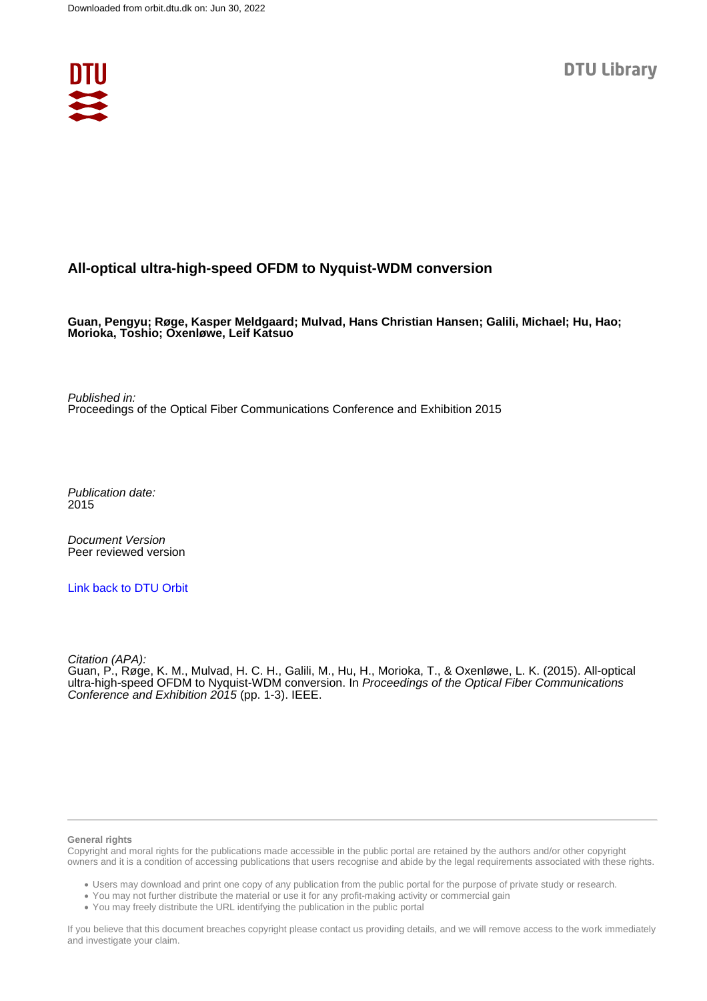

# **All-optical ultra-high-speed OFDM to Nyquist-WDM conversion**

**Guan, Pengyu; Røge, Kasper Meldgaard; Mulvad, Hans Christian Hansen; Galili, Michael; Hu, Hao; Morioka, Toshio; Oxenløwe, Leif Katsuo**

Published in: Proceedings of the Optical Fiber Communications Conference and Exhibition 2015

Publication date: 2015

Document Version Peer reviewed version

[Link back to DTU Orbit](https://orbit.dtu.dk/en/publications/97951ead-8153-454c-bfd6-b699250988e3)

Citation (APA):

Guan, P., Røge, K. M., Mulvad, H. C. H., Galili, M., Hu, H., Morioka, T., & Oxenløwe, L. K. (2015). All-optical ultra-high-speed OFDM to Nyquist-WDM conversion. In Proceedings of the Optical Fiber Communications Conference and Exhibition 2015 (pp. 1-3). IEEE.

#### **General rights**

Copyright and moral rights for the publications made accessible in the public portal are retained by the authors and/or other copyright owners and it is a condition of accessing publications that users recognise and abide by the legal requirements associated with these rights.

Users may download and print one copy of any publication from the public portal for the purpose of private study or research.

- You may not further distribute the material or use it for any profit-making activity or commercial gain
- You may freely distribute the URL identifying the publication in the public portal

If you believe that this document breaches copyright please contact us providing details, and we will remove access to the work immediately and investigate your claim.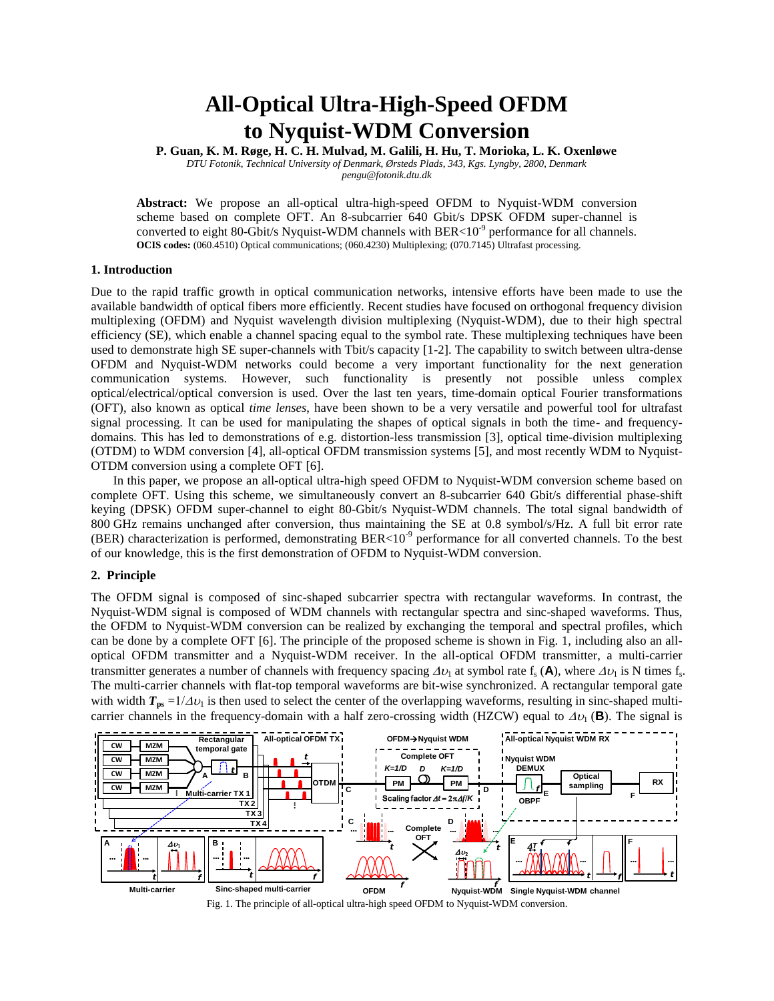# **All-Optical Ultra-High-Speed OFDM to Nyquist-WDM Conversion**

**P. Guan, K. M. Røge, H. C. H. Mulvad, M. Galili, H. Hu, T. Morioka, L. K. Oxenløwe**  *DTU Fotonik, Technical University of Denmark, Ørsteds Plads, 343, Kgs. Lyngby, 2800, Denmark pengu@fotonik.dtu.dk*

**Abstract:** We propose an all-optical ultra-high-speed OFDM to Nyquist-WDM conversion scheme based on complete OFT. An 8-subcarrier 640 Gbit/s DPSK OFDM super-channel is converted to eight 80-Gbit/s Nyquist-WDM channels with BER<10<sup>-9</sup> performance for all channels. **OCIS codes:** (060.4510) Optical communications; (060.4230) Multiplexing; (070.7145) Ultrafast processing.

### **1. Introduction**

Due to the rapid traffic growth in optical communication networks, intensive efforts have been made to use the available bandwidth of optical fibers more efficiently. Recent studies have focused on orthogonal frequency division multiplexing (OFDM) and Nyquist wavelength division multiplexing (Nyquist-WDM), due to their high spectral efficiency (SE), which enable a channel spacing equal to the symbol rate. These multiplexing techniques have been used to demonstrate high SE super-channels with Tbit/s capacity [1-2]. The capability to switch between ultra-dense OFDM and Nyquist-WDM networks could become a very important functionality for the next generation communication systems. However, such functionality is presently not possible unless complex optical/electrical/optical conversion is used. Over the last ten years, time-domain optical Fourier transformations (OFT), also known as optical *time lenses*, have been shown to be a very versatile and powerful tool for ultrafast signal processing. It can be used for manipulating the shapes of optical signals in both the time- and frequencydomains. This has led to demonstrations of e.g. distortion-less transmission [3], optical time-division multiplexing (OTDM) to WDM conversion [4], all-optical OFDM transmission systems [5], and most recently WDM to Nyquist-OTDM conversion using a complete OFT [6].

In this paper, we propose an all-optical ultra-high speed OFDM to Nyquist-WDM conversion scheme based on complete OFT. Using this scheme, we simultaneously convert an 8-subcarrier 640 Gbit/s differential phase-shift keying (DPSK) OFDM super-channel to eight 80-Gbit/s Nyquist-WDM channels. The total signal bandwidth of 800 GHz remains unchanged after conversion, thus maintaining the SE at 0.8 symbol/s/Hz. A full bit error rate (BER) characterization is performed, demonstrating BER<10 $^9$  performance for all converted channels. To the best of our knowledge, this is the first demonstration of OFDM to Nyquist-WDM conversion.

### **2. Principle**

The OFDM signal is composed of sinc-shaped subcarrier spectra with rectangular waveforms. In contrast, the Nyquist-WDM signal is composed of WDM channels with rectangular spectra and sinc-shaped waveforms. Thus, the OFDM to Nyquist-WDM conversion can be realized by exchanging the temporal and spectral profiles, which can be done by a complete OFT [6]. The principle of the proposed scheme is shown in Fig. 1, including also an alloptical OFDM transmitter and a Nyquist-WDM receiver. In the all-optical OFDM transmitter, a multi-carrier transmitter generates a number of channels with frequency spacing  $\Delta v_1$  at symbol rate f<sub>s</sub> (A), where  $\Delta v_1$  is N times f<sub>s</sub>. The multi-carrier channels with flat-top temporal waveforms are bit-wise synchronized. A rectangular temporal gate with width  $T_{\text{ps}} = 1/\Delta v_1$  is then used to select the center of the overlapping waveforms, resulting in sinc-shaped multicarrier channels in the frequency-domain with a half zero-crossing width (HZCW) equal to  $\Delta v_1(\mathbf{B})$ . The signal is



Fig. 1. The principle of all-optical ultra-high speed OFDM to Nyquist-WDM conversion.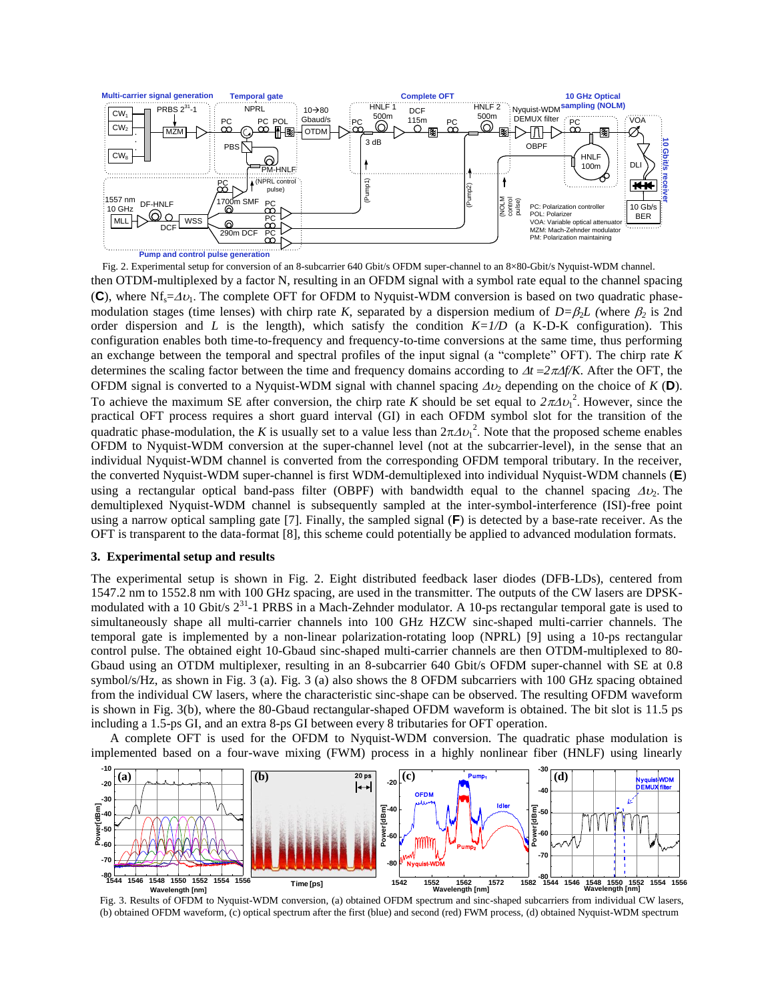

then OTDM-multiplexed by a factor N, resulting in an OFDM signal with a symbol rate equal to the channel spacing (C), where  $Nf_s = \Delta v_1$ . The complete OFT for OFDM to Nyquist-WDM conversion is based on two quadratic phasemodulation stages (time lenses) with chirp rate *K*, separated by a dispersion medium of  $D=\beta_2 L$  (where  $\beta_2$  is 2nd order dispersion and *L* is the length), which satisfy the condition  $K=1/D$  (a K-D-K configuration). This configuration enables both time-to-frequency and frequency-to-time conversions at the same time, thus performing an exchange between the temporal and spectral profiles of the input signal (a "complete" OFT). The chirp rate *K* determines the scaling factor between the time and frequency domains according to  $\Delta t = 2\pi/2$  *f*/*K*. After the OFT, the OFDM signal is converted to a Nyquist-WDM signal with channel spacing  $\Delta v_2$  depending on the choice of *K* (**D**). To achieve the maximum SE after conversion, the chirp rate *K* should be set equal to  $2\pi\Delta v_1^2$ . However, since the practical OFT process requires a short guard interval (GI) in each OFDM symbol slot for the transition of the quadratic phase-modulation, the *K* is usually set to a value less than  $2\pi\Delta v_1^2$ . Note that the proposed scheme enables OFDM to Nyquist-WDM conversion at the super-channel level (not at the subcarrier-level), in the sense that an individual Nyquist-WDM channel is converted from the corresponding OFDM temporal tributary. In the receiver, the converted Nyquist-WDM super-channel is first WDM-demultiplexed into individual Nyquist-WDM channels (**E**) using a rectangular optical band-pass filter (OBPF) with bandwidth equal to the channel spacing  $\Delta \nu$ . The demultiplexed Nyquist-WDM channel is subsequently sampled at the inter-symbol-interference (ISI)-free point using a narrow optical sampling gate [7]. Finally, the sampled signal (**F**) is detected by a base-rate receiver. As the OFT is transparent to the data-format [8], this scheme could potentially be applied to advanced modulation formats. Fig. 2. Experimental setup for conversion of an 8-subcarrier 640 Gbit/s OFDM super-channel to an 8×80-Gbit/s Nyquist-WDM channel.

#### **3. Experimental setup and results**

The experimental setup is shown in Fig. 2. Eight distributed feedback laser diodes (DFB-LDs), centered from 1547.2 nm to 1552.8 nm with 100 GHz spacing, are used in the transmitter. The outputs of the CW lasers are DPSKmodulated with a 10 Gbit/s  $2^{31}$ -1 PRBS in a Mach-Zehnder modulator. A 10-ps rectangular temporal gate is used to simultaneously shape all multi-carrier channels into 100 GHz HZCW sinc-shaped multi-carrier channels. The temporal gate is implemented by a non-linear polarization-rotating loop (NPRL) [9] using a 10-ps rectangular control pulse. The obtained eight 10-Gbaud sinc-shaped multi-carrier channels are then OTDM-multiplexed to 80- Gbaud using an OTDM multiplexer, resulting in an 8-subcarrier 640 Gbit/s OFDM super-channel with SE at 0.8 symbol/s/Hz, as shown in Fig. 3 (a). Fig. 3 (a) also shows the 8 OFDM subcarriers with 100 GHz spacing obtained from the individual CW lasers, where the characteristic sinc-shape can be observed. The resulting OFDM waveform is shown in Fig. 3(b), where the 80-Gbaud rectangular-shaped OFDM waveform is obtained. The bit slot is 11.5 ps

 A complete OFT is used for the OFDM to Nyquist-WDM conversion. The quadratic phase modulation is implemented based on a four-wave mixing (FWM) process in a highly nonlinear fiber (HNLF) using linearly



Fig. 3. Results of OFDM to Nyquist-WDM conversion, (a) obtained OFDM spectrum and sinc-shaped subcarriers from individual CW lasers, (b) obtained OFDM waveform, (c) optical spectrum after the first (blue) and second (red) FWM process, (d) obtained Nyquist-WDM spectrum